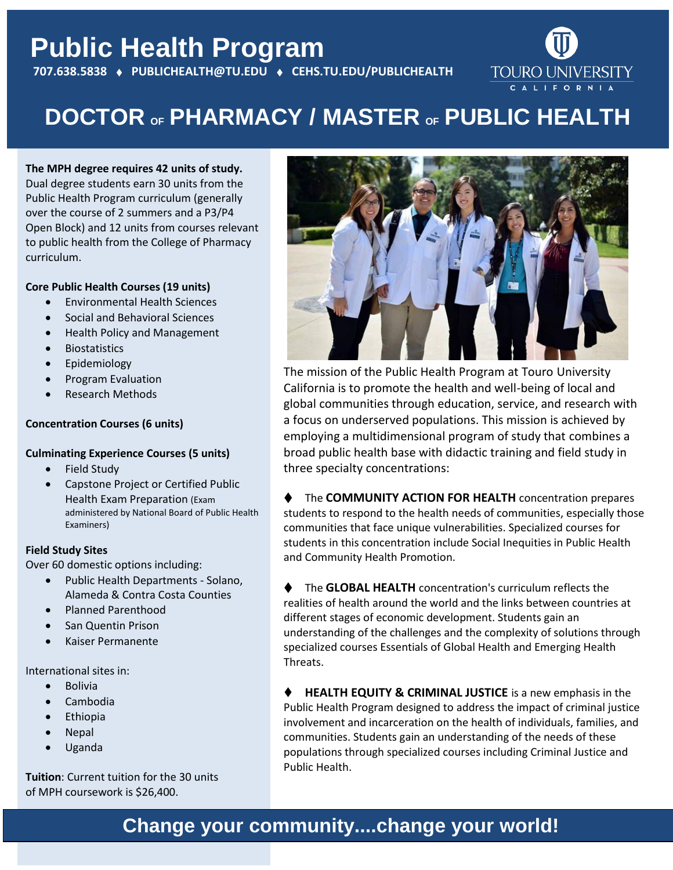## **Public Health Program 707.638.5838 PUBLICHEALTH@TU.EDU CEHS.TU.EDU/PUBLICHEALTH**



# **DOCTOR OF PHARMACY / MASTER OF PUBLIC HEALTH**

### **The MPH degree requires 42 units of study.**

Dual degree students earn 30 units from the Public Health Program curriculum (generally over the course of 2 summers and a P3/P4 Open Block) and 12 units from courses relevant to public health from the College of Pharmacy curriculum.

### **Core Public Health Courses (19 units)**

- Environmental Health Sciences
- Social and Behavioral Sciences
- Health Policy and Management
- Biostatistics

- Epidemiology
- Program Evaluation
- Research Methods

### **Concentration Courses (6 units)**

#### **Culminating Experience Courses (5 units)**

- Field Study
- Capstone Project or Certified Public Health Exam Preparation (Exam administered by National Board of Public Health Examiners)

### **Field Study Sites**

Over 60 domestic options including:

- Public Health Departments Solano, Alameda & Contra Costa Counties
- Planned Parenthood
- San Quentin Prison
- Kaiser Permanente

International sites in:

- Bolivia
- Cambodia
- Ethiopia
- Nepal
- Uganda

**Tuition**: Current tuition for the 30 units of MPH coursework is \$26,400.



The mission of the Public Health Program at Touro University California is to promote the health and well-being of local and global communities through education, service, and research with a focus on underserved populations. This mission is achieved by employing a multidimensional program of study that combines a broad public health base with didactic training and field study in three specialty concentrations:

◆ The **COMMUNITY ACTION FOR HEALTH** concentration prepares students to respond to the health needs of communities, especially those communities that face unique vulnerabilities. Specialized courses for students in this concentration include Social Inequities in Public Health and Community Health Promotion.

The **GLOBAL HEALTH** concentration's curriculum reflects the realities of health around the world and the links between countries at different stages of economic development. Students gain an understanding of the challenges and the complexity of solutions through specialized courses Essentials of Global Health and Emerging Health Threats.

**HEALTH EQUITY & CRIMINAL JUSTICE** is a new emphasis in the Public Health Program designed to address the impact of criminal justice involvement and incarceration on the health of individuals, families, and communities. Students gain an understanding of the needs of these populations through specialized courses including Criminal Justice and Public Health.

### **Change your community....change your world!**